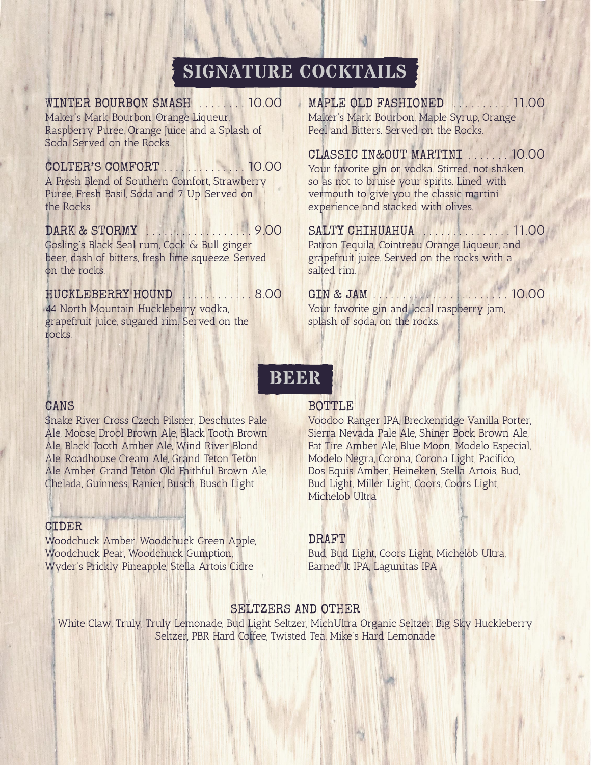# **SIGNATURE COCKTAILS**

#### WINTER BOURBON SMASH . . . . . . . . 10.00

Maker's Mark Bourbon, Orange Liqueur, Raspberry Puree, Orange Juice and a Splash of Soda. Served on the Rocks.

#### COLTER'S COMFORT . . . . . . . . . . . . . . 10.00

A Fresh Blend of Southern Comfort, Strawberry Puree, Fresh Basil, Soda and 7 Up. Served on the Rocks.

#### DARK & STORMY . . . . . . . . . . . . . . 9.00

Gosling's Black Seal rum, Cock & Bull ginger beer, dash of bitters, fresh lime squeeze. Served on the rocks.

#### HUCKLEBERRY HOUND . . . . . . . . . . 8.00

44 North Mountain Huckleberry vodka, grapefruit juice, sugared rim. Served on the rocks.

MAPLE OLD FASHIONED . . . . . . . . . . 11.00 Maker's Mark Bourbon, Maple Syrup, Orange Peel and Bitters. Served on the Rocks.

### CLASSIC IN&OUT MARTINI . . . . . . . 10.00

Your favorite gin or vodka. Stirred, not shaken, so as not to bruise your spirits. Lined with vermouth to give you the classic martini experience and stacked with olives.

#### SALTY CHIHUAHUA . . . . . . . . . . . . . . . 11.00

Patron Tequila, Cointreau Orange Liqueur, and grapefruit juice. Served on the rocks with a salted rim.

GIN & JAM . . . . . . . . . . . . . . . . . . . . . . . 10.00 Your favorite gin and local raspberry jam, splash of soda, on the rocks.

## **BEER**

#### CANS

Snake River Cross Czech Pilsner, Deschutes Pale Ale, Moose Drool Brown Ale, Black Tooth Brown Ale, Black Tooth Amber Ale, Wind River Blond Ale, Roadhouse Cream Ale, Grand Teton Teton Ale Amber, Grand Teton Old Faithful Brown Ale, Chelada, Guinness, Ranier, Busch, Busch Light

#### CIDER

Woodchuck Amber, Woodchuck Green Apple, Woodchuck Pear, Woodchuck Gumption, Wyder's Prickly Pineapple, Stella Artois Cidre

#### BOTTLE

Voodoo Ranger IPA, Breckenridge Vanilla Porter, Sierra Nevada Pale Ale, Shiner Bock Brown Ale, Fat Tire Amber Ale, Blue Moon, Modelo Especial, Modelo Negra, Corona, Corona Light, Pacifico, Dos Equis Amber, Heineken, Stella Artois, Bud, Bud Light, Miller Light, Coors, Coors Light, Michelob Ultra

#### DRAFT

Bud, Bud Light, Coors Light, Michelob Ultra, Earned It IPA, Lagunitas IPA

#### SELTZERS AND OTHER

White Claw, Truly, Truly Lemonade, Bud Light Seltzer, MichUltra Organic Seltzer, Big Sky Huckleberry Seltzer, PBR Hard Coffee, Twisted Tea, Mike's Hard Lemonade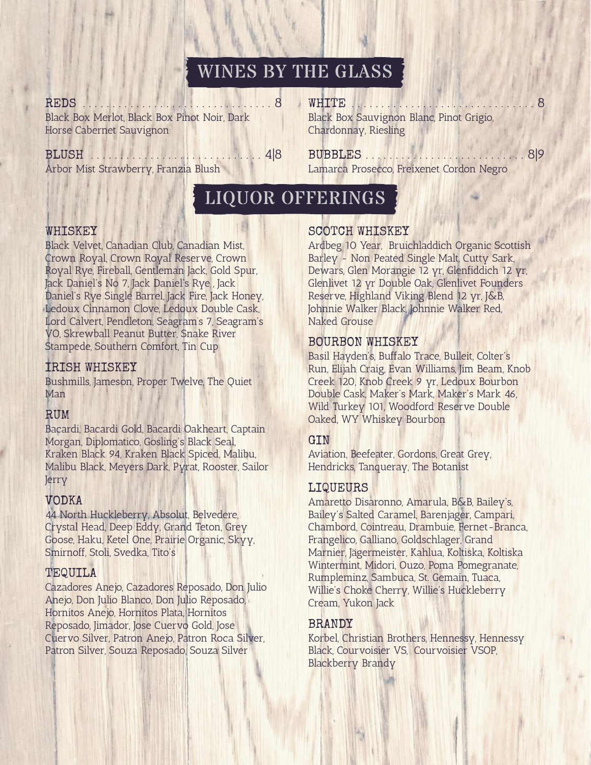# WINES BY THE GLASS

REDS . . . . . . . . . . . . . . . . . . . . . . . . . . . . . . . . 8 Black Box Merlot, Black Box Pinot Noir, Dark Horse Cabernet Sauvignon

#### BLUSH . . . . . . . . . . . . . . . . . . . . . . . . . . . . . 4|8

Arbor Mist Strawberry, Franzia Blush

WHITE . . . . . . . . . . . . . . . . . . . . . . . . . . . . . . . 8 Black Box Sauvignon Blanc, Pinot Grigio, Chardonnay, Riesling

#### BUBBLES . . . . . . . . . . . . . . . . . . . . . . . . . . . 8|9 Lamarca Prosecco, Freixenet Cordon Negro

# LIQUOR OFFERINGS

#### WHISKEY

Black Velvet, Canadian Club, Canadian Mist, Crown Royal, Crown Royal Reserve, Crown Royal Rye, Fireball, Gentleman Jack, Gold Spur, Jack Daniel's No 7, Jack Daniel's Rye , Jack Daniel's Rye Single Barrel, Jack Fire, Jack Honey, Ledoux Cinnamon Clove, Ledoux Double Cask, Lord Calvert, Pendleton, Seagram's 7, Seagram's VO, Skrewball Peanut Butter, Snake River Stampede, Southern Comfort, Tin Cup

#### IRISH WHISKEY

Bushmills, Jameson, Proper Twelve, The Quiet Man

Bacardi, Bacardi Gold, Bacardi Oakheart, Captain Morgan, Diplomatico, Gosling's Black Seal, Kraken Black 94, Kraken Black Spiced, Malibu, Malibu Black, Meyers Dark, Pyrat, Rooster, Sailor Jerry

## VODKA

44 North Huckleberry, Absolut, Belvedere, Crystal Head, Deep Eddy, Grand Teton, Grey Goose, Haku, Ketel One, Prairie Organic, Skyy, Smirnoff, Stoli, Svedka, Tito's

#### TEQUILA

Cazadores Anejo, Cazadores Reposado, Don Julio Anejo, Don Julio Blanco, Don Julio Reposado, Hornitos Anejo, Hornitos Plata, Hornitos Reposado, Jimador, Jose Cuervo Gold, Jose Cuervo Silver, Patron Anejo, Patron Roca Silver, Patron Silver, Souza Reposado, Souza Silver

#### SCOTCH WHISKEY

Ardbeg 10 Year, Bruichladdich Organic Scottish Barley - Non Peated Single Malt, Cutty Sark, Dewars, Glen Morangie 12 yr, Glenfiddich 12 yr, Glenlivet 12 yr Double Oak, Glenlivet Founders Reserve, Highland Viking Blend 12 yr, J&B, Johnnie Walker Black, Johnnie Walker Red, Naked Grouse

#### BOURBON WHISKEY

Basil Hayden's, Buffalo Trace, Bulleit, Colter's Run, Elijah Craig, Evan Williams, Jim Beam, Knob Creek 120, Knob Creek 9 yr, Ledoux Bourbon Double Cask, Maker's Mark, Maker's Mark 46, Wild Turkey 101, Woodford Reserve Double RUM Daked, WY Whiskey Bourbon

#### GIN

Aviation, Beefeater, Gordons, Great Grey, Hendricks, Tanqueray, The Botanist

#### LIQUEURS

Amaretto Disaronno, Amarula, B&B, Bailey's, Bailey's Salted Caramel, Barenjager, Campari, Chambord, Cointreau, Drambuie, Fernet-Branca, Frangelico, Galliano, Goldschlager, Grand Marnier, Jägermeister, Kahlua, Koltiska, Koltiska Wintermint, Midori, Ouzo, Poma Pomegranate, Rumpleminz, Sambuca, St. Gemain, Tuaca, Willie's Choke Cherry, Willie's Huckleberry Cream, Yukon Jack

#### BRANDY

Korbel, Christian Brothers, Hennessy, Hennessy Black, Courvoisier VS, Courvoisier VSOP, Blackberry Brandy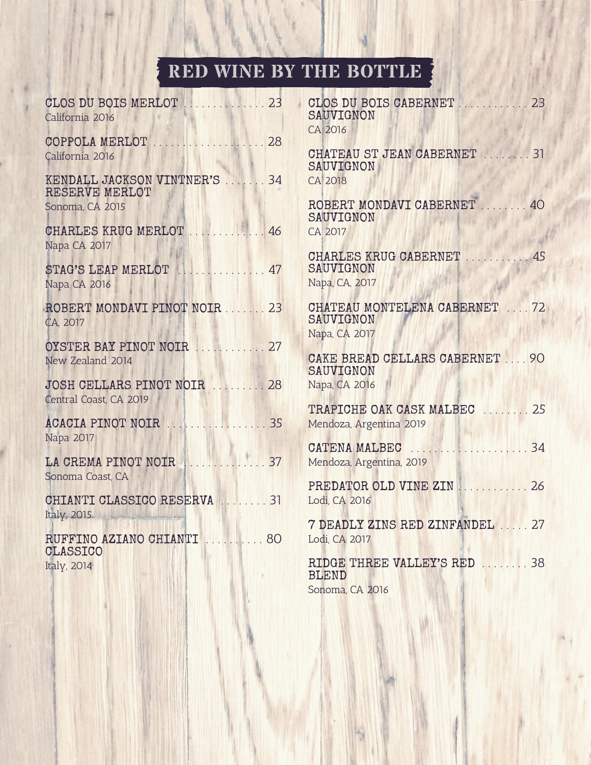# **RED WINE BY THE BOTTLE**

| CLOS DU BOIS MERLOT<br>California 2016                | . 23        | CLOS DU BOIS CABERNET<br>SAUVIGNON<br>CA 2016                       | 23 |
|-------------------------------------------------------|-------------|---------------------------------------------------------------------|----|
| COPPOLA MERLOT<br>California 2016                     | 28          | CHATEAU ST JEAN CABERNET  31<br>SAUVIGNON                           |    |
| KENDALL JACKSON VINTNER'S  34<br>RESERVE MERLOT       |             | CA 2018                                                             |    |
| Sonoma, CA 2015                                       |             | ROBERT MONDAVI CABERNET<br>SAUVIGNON                                | 40 |
| CHARLES KRUG MERLOT  46<br>Napa CA 2017               |             | CA 2017                                                             |    |
| STAG'S LEAP MERLOT NERRETTER 47<br>Napa CA 2016       |             | CHARLES KRUG CABERNET<br>SAUVIGNON<br>Napa, CA, 2017                | 45 |
| ROBERT MONDAVI PINOT NOIR  23<br>CA, 2017             |             | CHATEAU MONTELENA CABERNET  72<br>SAUVIGNON<br>Napa, CA 2017        |    |
| OYSTER BAY PINOT NOIR  27<br>New Zealand 2014         |             | CAKE BREAD CELLARS CABERNET  90<br>SAUVIGNON                        |    |
| JOSH CELLARS PINOT NOIR  28<br>Central Coast, CA 2019 |             | Napa, CA 2016                                                       |    |
| <b>ACACIA PINOT NOIR</b>                              | . 35        | TRAPICHE OAK CASK MALBEC<br>Mendoza, Argentina 2019                 | 25 |
| Napa 2017<br>LA CREMA PINOT NOIR                      | $\ldots$ 37 | CATENA MALBEC<br><b>ANTALIA ANGELIA</b><br>Mendoza, Argentina, 2019 | 34 |
| Sonoma Coast, CA<br>CHIANTI CLASSICO RESERVA          | . 31        | PREDATOR OLD VINE ZIN<br>Lodi, CA 2016                              | 26 |
| Italy, 2015<br>RUFFINO AZIANO CHIANTI                 | 80          | 7 DEADLY ZINS RED ZINFANDEL  27<br>Lodi, CA 2017                    |    |
| <b>CLASSICO</b><br>Italy, 2014                        |             | RIDGE THREE VALLEY'S RED  38<br><b>RLEND</b>                        |    |

| CLOS DU BOIS CABERNET<br>. 23<br>SAUVIGNON<br>CA 2016         |     |
|---------------------------------------------------------------|-----|
| CHATEAU ST JEAN CABERNET  31<br>SAUVIGNON<br><b>CA 2018</b>   |     |
| ROBERT MONDAVI CABERNET<br>SAUVIGNON<br>CA 2017               | .40 |
| CHARLES KRUG CABERNET<br>SAUVIGNON<br>Napa, CA, 2017          | .45 |
| CHATEAU MONTELENA CABERNET  72<br>SAUVIGNON<br>Napa, CA 2017  |     |
| CAKE BREAD CELLARS CABERNET  90<br>SAUVIGNON<br>Napa, CA 2016 |     |
| TRAPICHE OAK CASK MALBEC<br>Mendoza, Argentina 2019           | 25  |
| CATENA MALBEC<br>Mendoza, Argentina, 2019                     | 34  |
| PREDATOR OLD VINE ZIN<br>Lodi, CA 2016                        | 26  |
| 7 DEADLY ZINS RED ZINFANDEL  27<br>Lodi, CA 2017              |     |
| RIDGE THREE VALLEY'S RED<br><b>BLEND</b><br>Sonoma, CA 2016   | 38  |